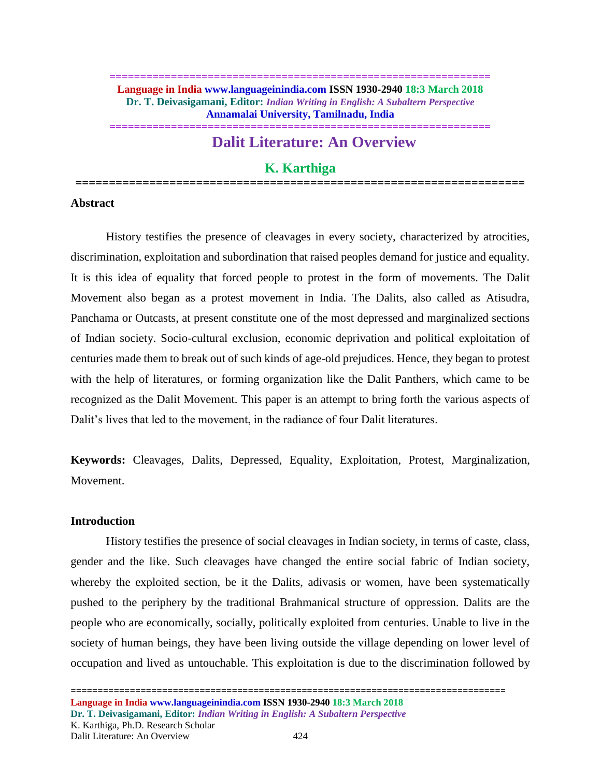#### **============================================================== Language in India www.languageinindia.com ISSN 1930-2940 18:3 March 2018 Dr. T. Deivasigamani, Editor:** *Indian Writing in English: A Subaltern Perspective* **Annamalai University, Tamilnadu, India**

**==============================================================**

# **Dalit Literature: An Overview**

## **K. Karthiga**

**===================================================================**

## **Abstract**

History testifies the presence of cleavages in every society, characterized by atrocities, discrimination, exploitation and subordination that raised peoples demand for justice and equality. It is this idea of equality that forced people to protest in the form of movements. The Dalit Movement also began as a protest movement in India. The Dalits, also called as Atisudra, Panchama or Outcasts, at present constitute one of the most depressed and marginalized sections of Indian society. Socio-cultural exclusion, economic deprivation and political exploitation of centuries made them to break out of such kinds of age-old prejudices. Hence, they began to protest with the help of literatures, or forming organization like the Dalit Panthers, which came to be recognized as the Dalit Movement. This paper is an attempt to bring forth the various aspects of Dalit's lives that led to the movement, in the radiance of four Dalit literatures.

**Keywords:** Cleavages, Dalits, Depressed, Equality, Exploitation, Protest, Marginalization, Movement.

## **Introduction**

History testifies the presence of social cleavages in Indian society, in terms of caste, class, gender and the like. Such cleavages have changed the entire social fabric of Indian society, whereby the exploited section, be it the Dalits, adivasis or women, have been systematically pushed to the periphery by the traditional Brahmanical structure of oppression. Dalits are the people who are economically, socially, politically exploited from centuries. Unable to live in the society of human beings, they have been living outside the village depending on lower level of occupation and lived as untouchable. This exploitation is due to the discrimination followed by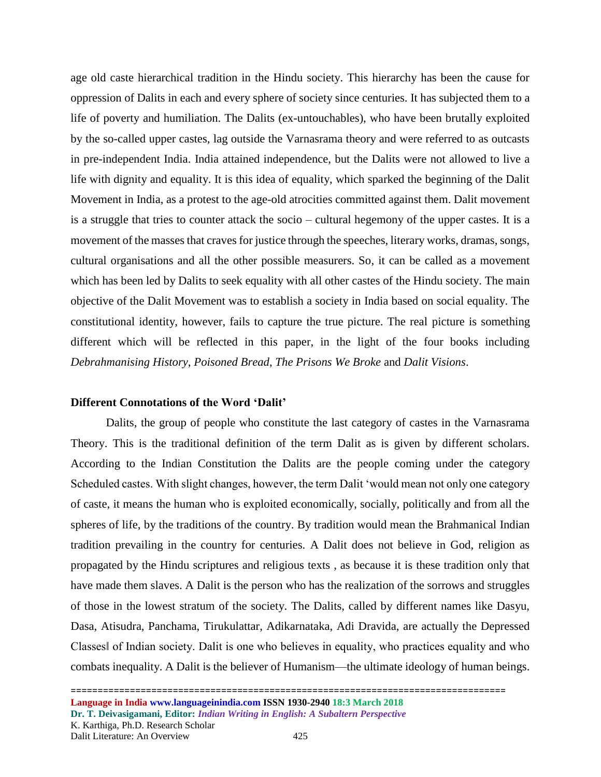age old caste hierarchical tradition in the Hindu society. This hierarchy has been the cause for oppression of Dalits in each and every sphere of society since centuries. It has subjected them to a life of poverty and humiliation. The Dalits (ex-untouchables), who have been brutally exploited by the so-called upper castes, lag outside the Varnasrama theory and were referred to as outcasts in pre-independent India. India attained independence, but the Dalits were not allowed to live a life with dignity and equality. It is this idea of equality, which sparked the beginning of the Dalit Movement in India, as a protest to the age-old atrocities committed against them. Dalit movement is a struggle that tries to counter attack the socio – cultural hegemony of the upper castes. It is a movement of the masses that craves for justice through the speeches, literary works, dramas, songs, cultural organisations and all the other possible measurers. So, it can be called as a movement which has been led by Dalits to seek equality with all other castes of the Hindu society. The main objective of the Dalit Movement was to establish a society in India based on social equality. The constitutional identity, however, fails to capture the true picture. The real picture is something different which will be reflected in this paper, in the light of the four books including *Debrahmanising History*, *Poisoned Bread*, *The Prisons We Broke* and *Dalit Visions*.

## **Different Connotations of the Word 'Dalit'**

Dalits, the group of people who constitute the last category of castes in the Varnasrama Theory. This is the traditional definition of the term Dalit as is given by different scholars. According to the Indian Constitution the Dalits are the people coming under the category Scheduled castes. With slight changes, however, the term Dalit 'would mean not only one category of caste, it means the human who is exploited economically, socially, politically and from all the spheres of life, by the traditions of the country. By tradition would mean the Brahmanical Indian tradition prevailing in the country for centuries. A Dalit does not believe in God, religion as propagated by the Hindu scriptures and religious texts , as because it is these tradition only that have made them slaves. A Dalit is the person who has the realization of the sorrows and struggles of those in the lowest stratum of the society. The Dalits, called by different names like Dasyu, Dasa, Atisudra, Panchama, Tirukulattar, Adikarnataka, Adi Dravida, are actually the Depressed Classes‖ of Indian society. Dalit is one who believes in equality, who practices equality and who combats inequality. A Dalit is the believer of Humanism—the ultimate ideology of human beings.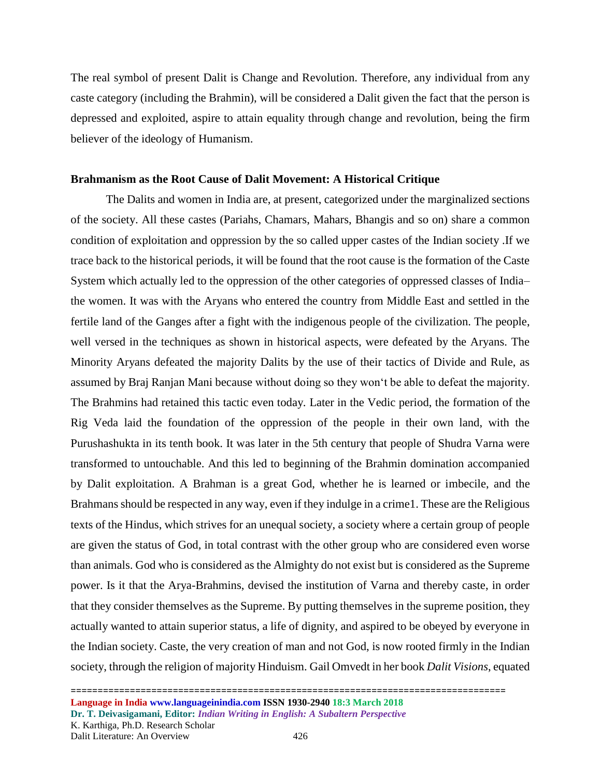The real symbol of present Dalit is Change and Revolution. Therefore, any individual from any caste category (including the Brahmin), will be considered a Dalit given the fact that the person is depressed and exploited, aspire to attain equality through change and revolution, being the firm believer of the ideology of Humanism.

#### **Brahmanism as the Root Cause of Dalit Movement: A Historical Critique**

The Dalits and women in India are, at present, categorized under the marginalized sections of the society. All these castes (Pariahs, Chamars, Mahars, Bhangis and so on) share a common condition of exploitation and oppression by the so called upper castes of the Indian society .If we trace back to the historical periods, it will be found that the root cause is the formation of the Caste System which actually led to the oppression of the other categories of oppressed classes of India– the women. It was with the Aryans who entered the country from Middle East and settled in the fertile land of the Ganges after a fight with the indigenous people of the civilization. The people, well versed in the techniques as shown in historical aspects, were defeated by the Aryans. The Minority Aryans defeated the majority Dalits by the use of their tactics of Divide and Rule, as assumed by Braj Ranjan Mani because without doing so they won't be able to defeat the majority. The Brahmins had retained this tactic even today. Later in the Vedic period, the formation of the Rig Veda laid the foundation of the oppression of the people in their own land, with the Purushashukta in its tenth book. It was later in the 5th century that people of Shudra Varna were transformed to untouchable. And this led to beginning of the Brahmin domination accompanied by Dalit exploitation. A Brahman is a great God, whether he is learned or imbecile, and the Brahmans should be respected in any way, even if they indulge in a crime1. These are the Religious texts of the Hindus, which strives for an unequal society, a society where a certain group of people are given the status of God, in total contrast with the other group who are considered even worse than animals. God who is considered as the Almighty do not exist but is considered as the Supreme power. Is it that the Arya-Brahmins, devised the institution of Varna and thereby caste, in order that they consider themselves as the Supreme. By putting themselves in the supreme position, they actually wanted to attain superior status, a life of dignity, and aspired to be obeyed by everyone in the Indian society. Caste, the very creation of man and not God, is now rooted firmly in the Indian society, through the religion of majority Hinduism. Gail Omvedt in her book *Dalit Visions*, equated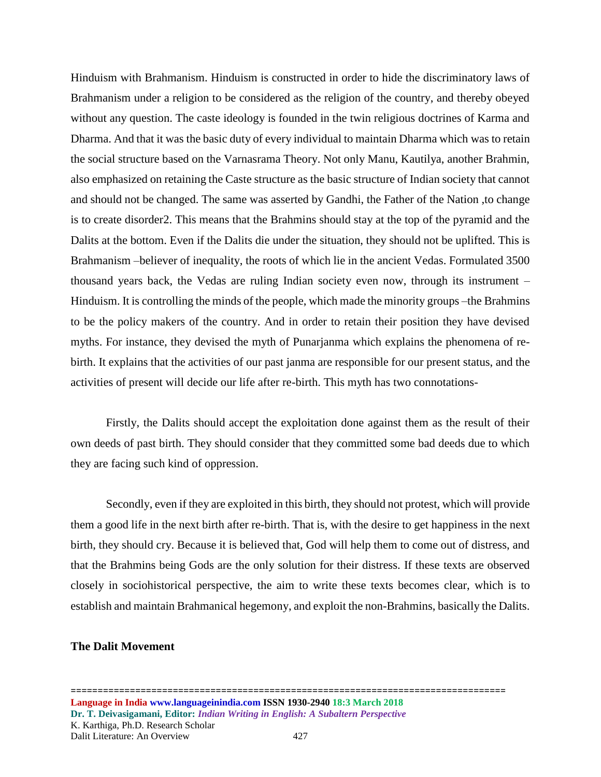Hinduism with Brahmanism. Hinduism is constructed in order to hide the discriminatory laws of Brahmanism under a religion to be considered as the religion of the country, and thereby obeyed without any question. The caste ideology is founded in the twin religious doctrines of Karma and Dharma. And that it was the basic duty of every individual to maintain Dharma which was to retain the social structure based on the Varnasrama Theory. Not only Manu, Kautilya, another Brahmin, also emphasized on retaining the Caste structure as the basic structure of Indian society that cannot and should not be changed. The same was asserted by Gandhi, the Father of the Nation ,to change is to create disorder2. This means that the Brahmins should stay at the top of the pyramid and the Dalits at the bottom. Even if the Dalits die under the situation, they should not be uplifted. This is Brahmanism –believer of inequality, the roots of which lie in the ancient Vedas. Formulated 3500 thousand years back, the Vedas are ruling Indian society even now, through its instrument – Hinduism. It is controlling the minds of the people, which made the minority groups –the Brahmins to be the policy makers of the country. And in order to retain their position they have devised myths. For instance, they devised the myth of Punarjanma which explains the phenomena of rebirth. It explains that the activities of our past janma are responsible for our present status, and the activities of present will decide our life after re-birth. This myth has two connotations-

Firstly, the Dalits should accept the exploitation done against them as the result of their own deeds of past birth. They should consider that they committed some bad deeds due to which they are facing such kind of oppression.

Secondly, even if they are exploited in this birth, they should not protest, which will provide them a good life in the next birth after re-birth. That is, with the desire to get happiness in the next birth, they should cry. Because it is believed that, God will help them to come out of distress, and that the Brahmins being Gods are the only solution for their distress. If these texts are observed closely in sociohistorical perspective, the aim to write these texts becomes clear, which is to establish and maintain Brahmanical hegemony, and exploit the non-Brahmins, basically the Dalits.

#### **The Dalit Movement**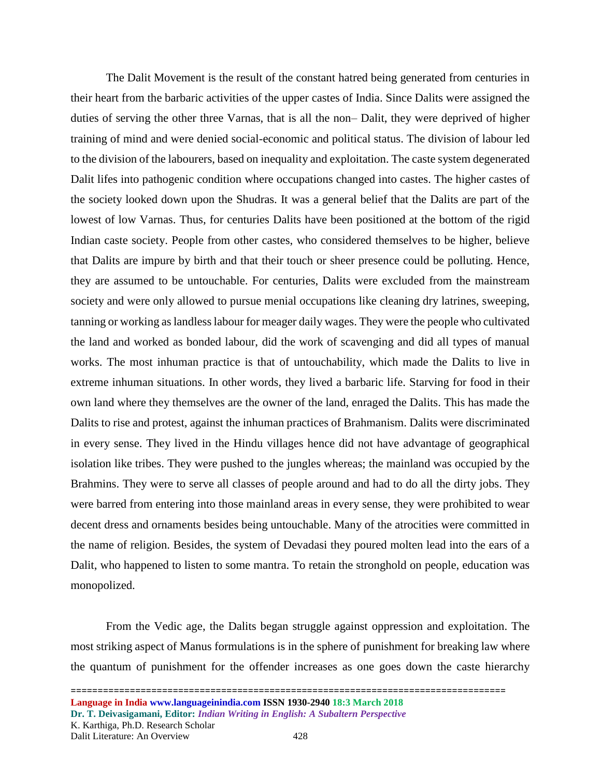The Dalit Movement is the result of the constant hatred being generated from centuries in their heart from the barbaric activities of the upper castes of India. Since Dalits were assigned the duties of serving the other three Varnas, that is all the non– Dalit, they were deprived of higher training of mind and were denied social-economic and political status. The division of labour led to the division of the labourers, based on inequality and exploitation. The caste system degenerated Dalit lifes into pathogenic condition where occupations changed into castes. The higher castes of the society looked down upon the Shudras. It was a general belief that the Dalits are part of the lowest of low Varnas. Thus, for centuries Dalits have been positioned at the bottom of the rigid Indian caste society. People from other castes, who considered themselves to be higher, believe that Dalits are impure by birth and that their touch or sheer presence could be polluting. Hence, they are assumed to be untouchable. For centuries, Dalits were excluded from the mainstream society and were only allowed to pursue menial occupations like cleaning dry latrines, sweeping, tanning or working as landless labour for meager daily wages. They were the people who cultivated the land and worked as bonded labour, did the work of scavenging and did all types of manual works. The most inhuman practice is that of untouchability, which made the Dalits to live in extreme inhuman situations. In other words, they lived a barbaric life. Starving for food in their own land where they themselves are the owner of the land, enraged the Dalits. This has made the Dalits to rise and protest, against the inhuman practices of Brahmanism. Dalits were discriminated in every sense. They lived in the Hindu villages hence did not have advantage of geographical isolation like tribes. They were pushed to the jungles whereas; the mainland was occupied by the Brahmins. They were to serve all classes of people around and had to do all the dirty jobs. They were barred from entering into those mainland areas in every sense, they were prohibited to wear decent dress and ornaments besides being untouchable. Many of the atrocities were committed in the name of religion. Besides, the system of Devadasi they poured molten lead into the ears of a Dalit, who happened to listen to some mantra. To retain the stronghold on people, education was monopolized.

From the Vedic age, the Dalits began struggle against oppression and exploitation. The most striking aspect of Manus formulations is in the sphere of punishment for breaking law where the quantum of punishment for the offender increases as one goes down the caste hierarchy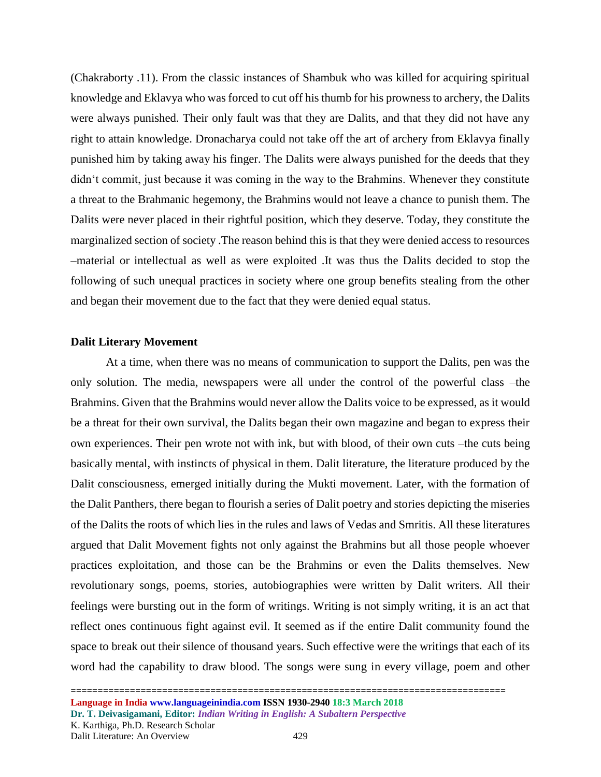(Chakraborty .11). From the classic instances of Shambuk who was killed for acquiring spiritual knowledge and Eklavya who was forced to cut off his thumb for his prowness to archery, the Dalits were always punished. Their only fault was that they are Dalits, and that they did not have any right to attain knowledge. Dronacharya could not take off the art of archery from Eklavya finally punished him by taking away his finger. The Dalits were always punished for the deeds that they didn't commit, just because it was coming in the way to the Brahmins. Whenever they constitute a threat to the Brahmanic hegemony, the Brahmins would not leave a chance to punish them. The Dalits were never placed in their rightful position, which they deserve. Today, they constitute the marginalized section of society .The reason behind this is that they were denied access to resources –material or intellectual as well as were exploited .It was thus the Dalits decided to stop the following of such unequal practices in society where one group benefits stealing from the other and began their movement due to the fact that they were denied equal status.

### **Dalit Literary Movement**

At a time, when there was no means of communication to support the Dalits, pen was the only solution. The media, newspapers were all under the control of the powerful class –the Brahmins. Given that the Brahmins would never allow the Dalits voice to be expressed, as it would be a threat for their own survival, the Dalits began their own magazine and began to express their own experiences. Their pen wrote not with ink, but with blood, of their own cuts –the cuts being basically mental, with instincts of physical in them. Dalit literature, the literature produced by the Dalit consciousness, emerged initially during the Mukti movement. Later, with the formation of the Dalit Panthers, there began to flourish a series of Dalit poetry and stories depicting the miseries of the Dalits the roots of which lies in the rules and laws of Vedas and Smritis. All these literatures argued that Dalit Movement fights not only against the Brahmins but all those people whoever practices exploitation, and those can be the Brahmins or even the Dalits themselves. New revolutionary songs, poems, stories, autobiographies were written by Dalit writers. All their feelings were bursting out in the form of writings. Writing is not simply writing, it is an act that reflect ones continuous fight against evil. It seemed as if the entire Dalit community found the space to break out their silence of thousand years. Such effective were the writings that each of its word had the capability to draw blood. The songs were sung in every village, poem and other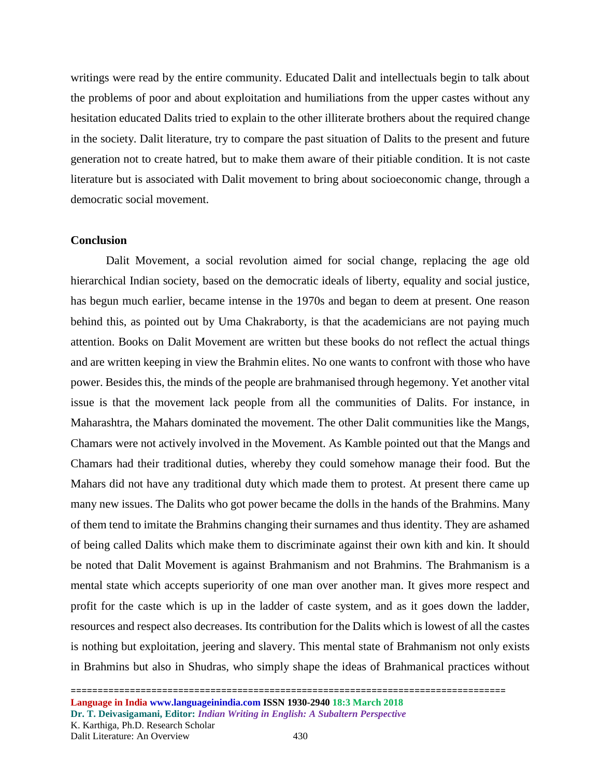writings were read by the entire community. Educated Dalit and intellectuals begin to talk about the problems of poor and about exploitation and humiliations from the upper castes without any hesitation educated Dalits tried to explain to the other illiterate brothers about the required change in the society. Dalit literature, try to compare the past situation of Dalits to the present and future generation not to create hatred, but to make them aware of their pitiable condition. It is not caste literature but is associated with Dalit movement to bring about socioeconomic change, through a democratic social movement.

#### **Conclusion**

Dalit Movement, a social revolution aimed for social change, replacing the age old hierarchical Indian society, based on the democratic ideals of liberty, equality and social justice, has begun much earlier, became intense in the 1970s and began to deem at present. One reason behind this, as pointed out by Uma Chakraborty, is that the academicians are not paying much attention. Books on Dalit Movement are written but these books do not reflect the actual things and are written keeping in view the Brahmin elites. No one wants to confront with those who have power. Besides this, the minds of the people are brahmanised through hegemony. Yet another vital issue is that the movement lack people from all the communities of Dalits. For instance, in Maharashtra, the Mahars dominated the movement. The other Dalit communities like the Mangs, Chamars were not actively involved in the Movement. As Kamble pointed out that the Mangs and Chamars had their traditional duties, whereby they could somehow manage their food. But the Mahars did not have any traditional duty which made them to protest. At present there came up many new issues. The Dalits who got power became the dolls in the hands of the Brahmins. Many of them tend to imitate the Brahmins changing their surnames and thus identity. They are ashamed of being called Dalits which make them to discriminate against their own kith and kin. It should be noted that Dalit Movement is against Brahmanism and not Brahmins. The Brahmanism is a mental state which accepts superiority of one man over another man. It gives more respect and profit for the caste which is up in the ladder of caste system, and as it goes down the ladder, resources and respect also decreases. Its contribution for the Dalits which is lowest of all the castes is nothing but exploitation, jeering and slavery. This mental state of Brahmanism not only exists in Brahmins but also in Shudras, who simply shape the ideas of Brahmanical practices without